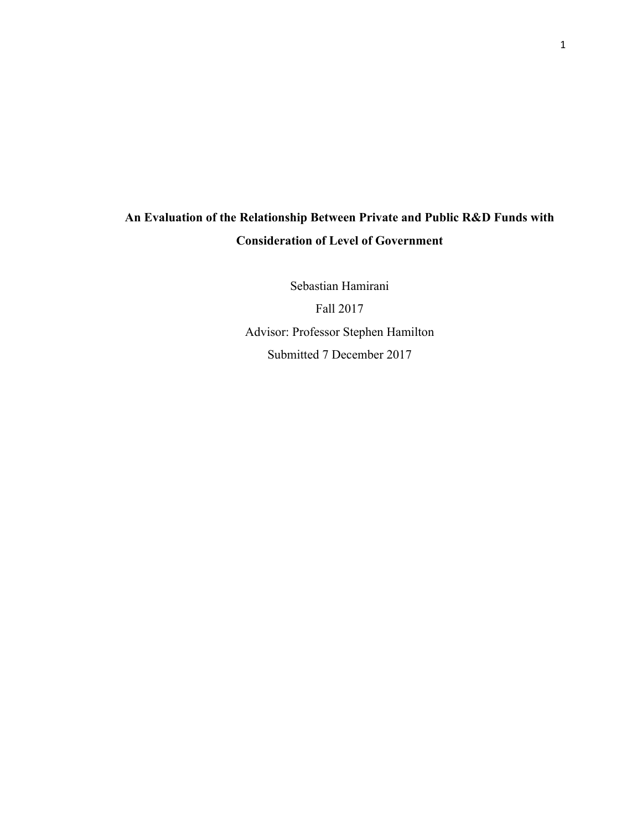# **An Evaluation of the Relationship Between Private and Public R&D Funds with Consideration of Level of Government**

Sebastian Hamirani Fall 2017 Advisor: Professor Stephen Hamilton Submitted 7 December 2017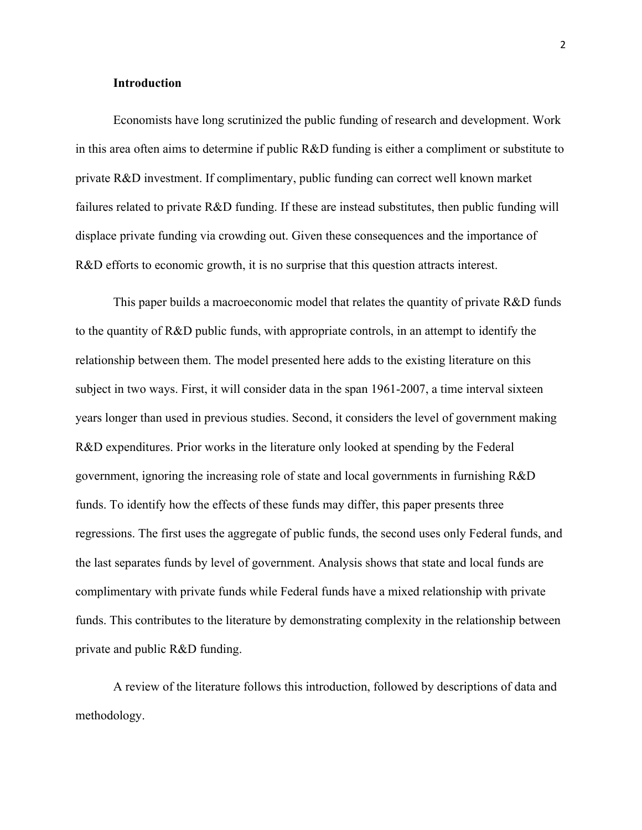## **Introduction**

Economists have long scrutinized the public funding of research and development. Work in this area often aims to determine if public R&D funding is either a compliment or substitute to private R&D investment. If complimentary, public funding can correct well known market failures related to private R&D funding. If these are instead substitutes, then public funding will displace private funding via crowding out. Given these consequences and the importance of R&D efforts to economic growth, it is no surprise that this question attracts interest.

This paper builds a macroeconomic model that relates the quantity of private R&D funds to the quantity of R&D public funds, with appropriate controls, in an attempt to identify the relationship between them. The model presented here adds to the existing literature on this subject in two ways. First, it will consider data in the span 1961-2007, a time interval sixteen years longer than used in previous studies. Second, it considers the level of government making R&D expenditures. Prior works in the literature only looked at spending by the Federal government, ignoring the increasing role of state and local governments in furnishing R&D funds. To identify how the effects of these funds may differ, this paper presents three regressions. The first uses the aggregate of public funds, the second uses only Federal funds, and the last separates funds by level of government. Analysis shows that state and local funds are complimentary with private funds while Federal funds have a mixed relationship with private funds. This contributes to the literature by demonstrating complexity in the relationship between private and public R&D funding.

A review of the literature follows this introduction, followed by descriptions of data and methodology.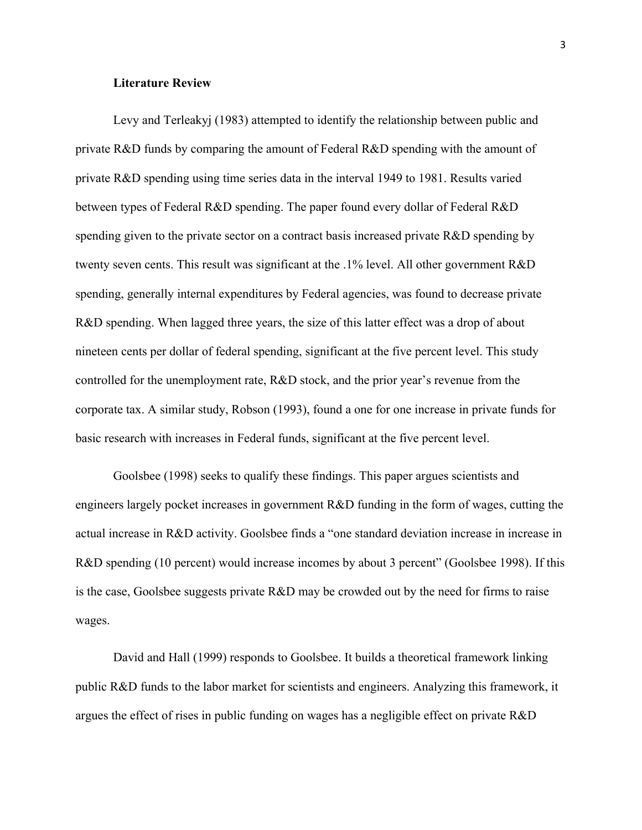### **Literature Review**

Levy and Terleakyj (1983) attempted to identify the relationship between public and private R&D funds by comparing the amount of Federal R&D spending with the amount of private R&D spending using time series data in the interval 1949 to 1981. Results varied between types of Federal R&D spending. The paper found every dollar of Federal R&D spending given to the private sector on a contract basis increased private R&D spending by twenty seven cents. This result was significant at the .1% level. All other government R&D spending, generally internal expenditures by Federal agencies, was found to decrease private R&D spending. When lagged three years, the size of this latter effect was a drop of about nineteen cents per dollar of federal spending, significant at the five percent level. This study controlled for the unemployment rate, R&D stock, and the prior year's revenue from the corporate tax. A similar study, Robson (1993), found a one for one increase in private funds for basic research with increases in Federal funds, significant at the five percent level.

Goolsbee (1998) seeks to qualify these findings. This paper argues scientists and engineers largely pocket increases in government R&D funding in the form of wages, cutting the actual increase in R&D activity. Goolsbee finds a "one standard deviation increase in increase in R&D spending (10 percent) would increase incomes by about 3 percent" (Goolsbee 1998). If this is the case, Goolsbee suggests private R&D may be crowded out by the need for firms to raise wages.

David and Hall (1999) responds to Goolsbee. It builds a theoretical framework linking public R&D funds to the labor market for scientists and engineers. Analyzing this framework, it argues the effect of rises in public funding on wages has a negligible effect on private R&D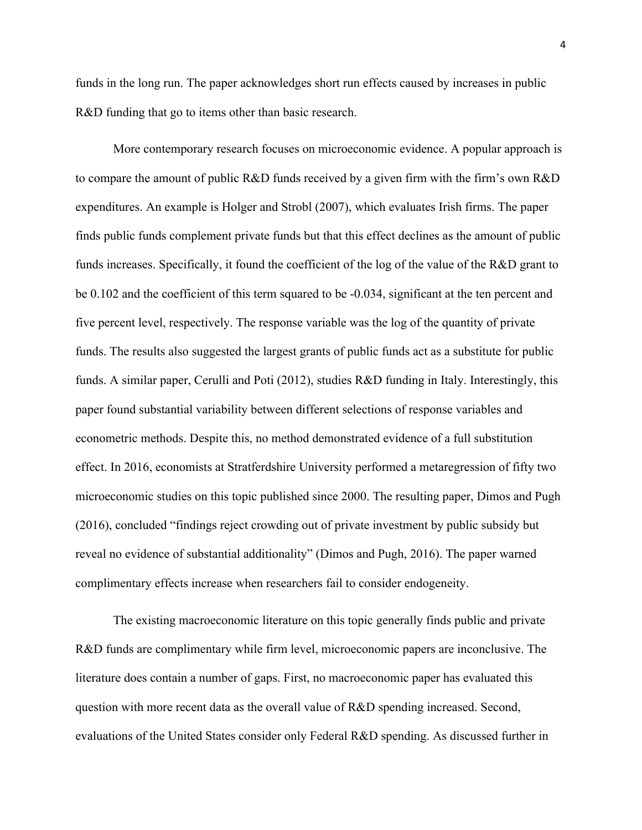funds in the long run. The paper acknowledges short run effects caused by increases in public R&D funding that go to items other than basic research.

More contemporary research focuses on microeconomic evidence. A popular approach is to compare the amount of public R&D funds received by a given firm with the firm's own R&D expenditures. An example is Holger and Strobl (2007), which evaluates Irish firms. The paper finds public funds complement private funds but that this effect declines as the amount of public funds increases. Specifically, it found the coefficient of the log of the value of the R&D grant to be 0.102 and the coefficient of this term squared to be -0.034, significant at the ten percent and five percent level, respectively. The response variable was the log of the quantity of private funds. The results also suggested the largest grants of public funds act as a substitute for public funds. A similar paper, Cerulli and Poti (2012), studies R&D funding in Italy. Interestingly, this paper found substantial variability between different selections of response variables and econometric methods. Despite this, no method demonstrated evidence of a full substitution effect. In 2016, economists at Stratferdshire University performed a metaregression of fifty two microeconomic studies on this topic published since 2000. The resulting paper, Dimos and Pugh (2016), concluded "findings reject crowding out of private investment by public subsidy but reveal no evidence of substantial additionality" (Dimos and Pugh, 2016). The paper warned complimentary effects increase when researchers fail to consider endogeneity.

The existing macroeconomic literature on this topic generally finds public and private R&D funds are complimentary while firm level, microeconomic papers are inconclusive. The literature does contain a number of gaps. First, no macroeconomic paper has evaluated this question with more recent data as the overall value of R&D spending increased. Second, evaluations of the United States consider only Federal R&D spending. As discussed further in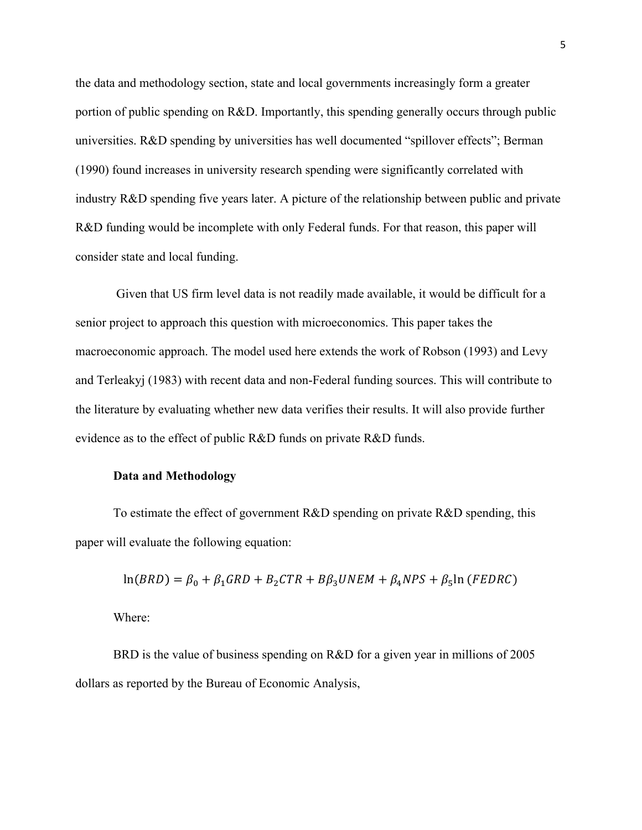the data and methodology section, state and local governments increasingly form a greater portion of public spending on R&D. Importantly, this spending generally occurs through public universities. R&D spending by universities has well documented "spillover effects"; Berman (1990) found increases in university research spending were significantly correlated with industry R&D spending five years later. A picture of the relationship between public and private R&D funding would be incomplete with only Federal funds. For that reason, this paper will consider state and local funding.

Given that US firm level data is not readily made available, it would be difficult for a senior project to approach this question with microeconomics. This paper takes the macroeconomic approach. The model used here extends the work of Robson (1993) and Levy and Terleakyj (1983) with recent data and non-Federal funding sources. This will contribute to the literature by evaluating whether new data verifies their results. It will also provide further evidence as to the effect of public R&D funds on private R&D funds.

### **Data and Methodology**

To estimate the effect of government R&D spending on private R&D spending, this paper will evaluate the following equation:

$$
ln(BRD) = \beta_0 + \beta_1 GRD + B_2 CTR + B\beta_3 UNEM + \beta_4 NPS + \beta_5 ln (FEDRC)
$$

Where:

BRD is the value of business spending on R&D for a given year in millions of 2005 dollars as reported by the Bureau of Economic Analysis,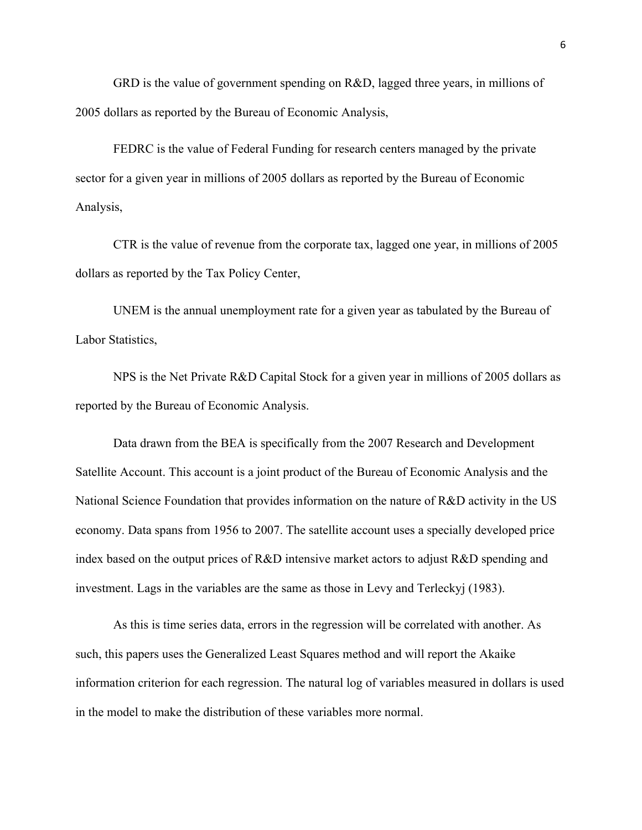GRD is the value of government spending on R&D, lagged three years, in millions of 2005 dollars as reported by the Bureau of Economic Analysis,

FEDRC is the value of Federal Funding for research centers managed by the private sector for a given year in millions of 2005 dollars as reported by the Bureau of Economic Analysis,

CTR is the value of revenue from the corporate tax, lagged one year, in millions of 2005 dollars as reported by the Tax Policy Center,

UNEM is the annual unemployment rate for a given year as tabulated by the Bureau of Labor Statistics,

NPS is the Net Private R&D Capital Stock for a given year in millions of 2005 dollars as reported by the Bureau of Economic Analysis.

Data drawn from the BEA is specifically from the 2007 Research and Development Satellite Account. This account is a joint product of the Bureau of Economic Analysis and the National Science Foundation that provides information on the nature of R&D activity in the US economy. Data spans from 1956 to 2007. The satellite account uses a specially developed price index based on the output prices of R&D intensive market actors to adjust R&D spending and investment. Lags in the variables are the same as those in Levy and Terleckyj (1983).

As this is time series data, errors in the regression will be correlated with another. As such, this papers uses the Generalized Least Squares method and will report the Akaike information criterion for each regression. The natural log of variables measured in dollars is used in the model to make the distribution of these variables more normal.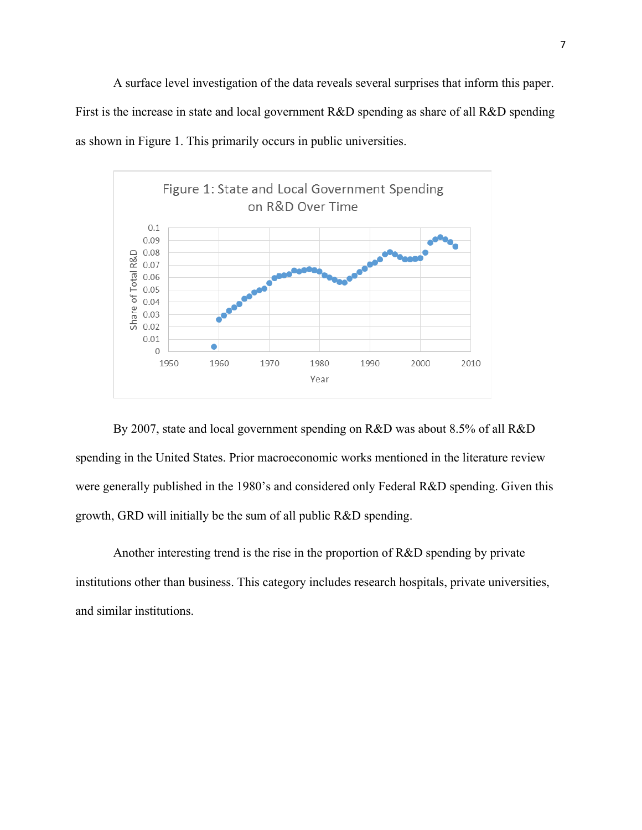A surface level investigation of the data reveals several surprises that inform this paper. First is the increase in state and local government R&D spending as share of all R&D spending as shown in Figure 1. This primarily occurs in public universities.



By 2007, state and local government spending on R&D was about 8.5% of all R&D spending in the United States. Prior macroeconomic works mentioned in the literature review were generally published in the 1980's and considered only Federal R&D spending. Given this growth, GRD will initially be the sum of all public R&D spending.

Another interesting trend is the rise in the proportion of R&D spending by private institutions other than business. This category includes research hospitals, private universities, and similar institutions.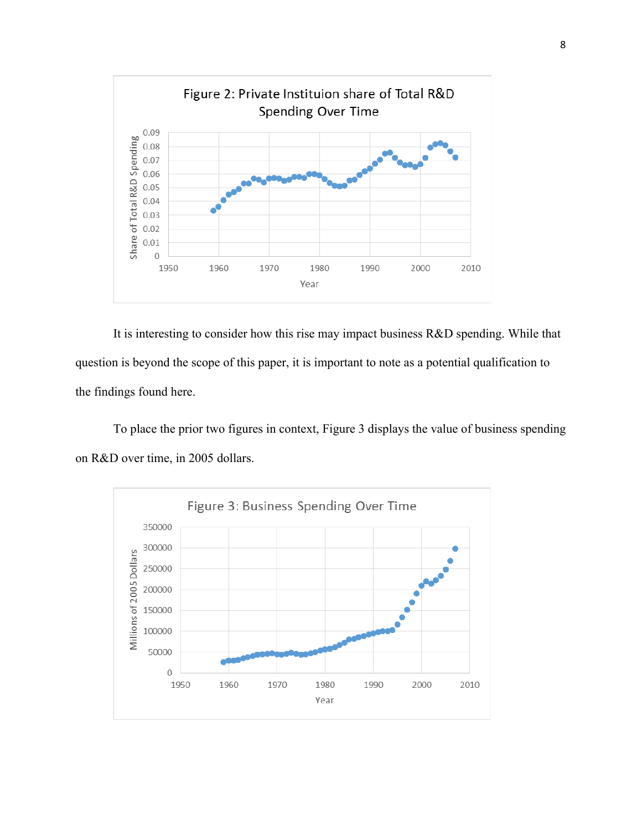

It is interesting to consider how this rise may impact business R&D spending. While that question is beyond the scope of this paper, it is important to note as a potential qualification to the findings found here.

To place the prior two figures in context, Figure 3 displays the value of business spending on R&D over time, in 2005 dollars.

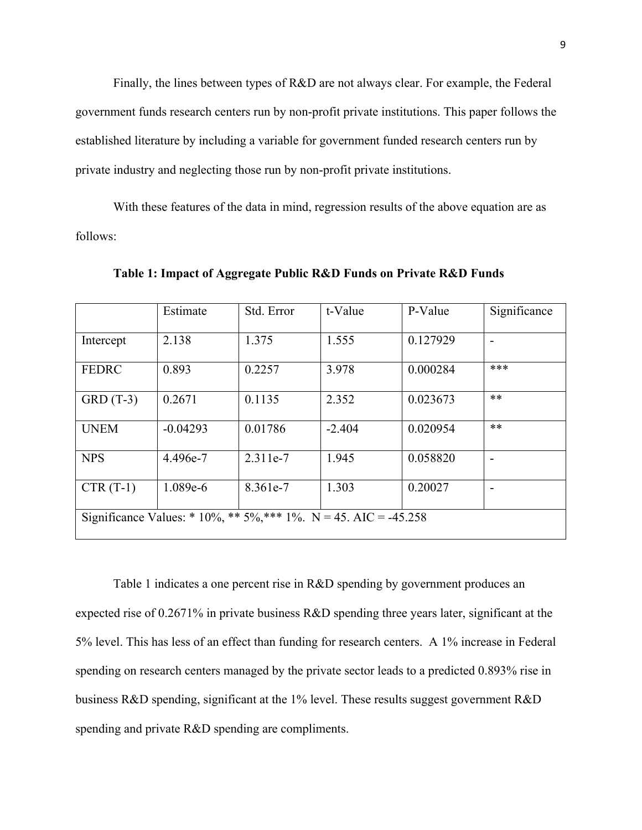Finally, the lines between types of R&D are not always clear. For example, the Federal government funds research centers run by non-profit private institutions. This paper follows the established literature by including a variable for government funded research centers run by private industry and neglecting those run by non-profit private institutions.

With these features of the data in mind, regression results of the above equation are as follows:

|                                                                  | Estimate   | Std. Error | t-Value  | P-Value  | Significance |  |
|------------------------------------------------------------------|------------|------------|----------|----------|--------------|--|
| Intercept                                                        | 2.138      | 1.375      | 1.555    | 0.127929 |              |  |
| <b>FEDRC</b>                                                     | 0.893      | 0.2257     | 3.978    | 0.000284 | ***          |  |
| $GRD(T-3)$                                                       | 0.2671     | 0.1135     | 2.352    | 0.023673 | $***$        |  |
| <b>UNEM</b>                                                      | $-0.04293$ | 0.01786    | $-2.404$ | 0.020954 | $***$        |  |
| <b>NPS</b>                                                       | 4.496e-7   | 2.311e-7   | 1.945    | 0.058820 |              |  |
| $CTR(T-1)$                                                       | 1.089e-6   | 8.361e-7   | 1.303    | 0.20027  |              |  |
| Significance Values: * 10%, ** 5%, *** 1%. N = 45. AIC = -45.258 |            |            |          |          |              |  |

**Table 1: Impact of Aggregate Public R&D Funds on Private R&D Funds** 

Table 1 indicates a one percent rise in R&D spending by government produces an expected rise of 0.2671% in private business R&D spending three years later, significant at the 5% level. This has less of an effect than funding for research centers. A 1% increase in Federal spending on research centers managed by the private sector leads to a predicted 0.893% rise in business R&D spending, significant at the 1% level. These results suggest government R&D spending and private R&D spending are compliments.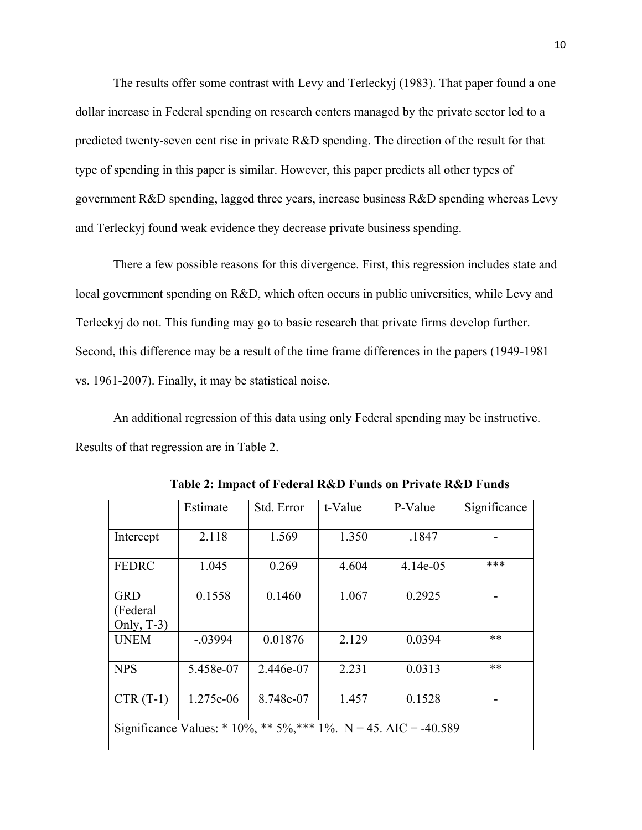The results offer some contrast with Levy and Terleckyj (1983). That paper found a one dollar increase in Federal spending on research centers managed by the private sector led to a predicted twenty-seven cent rise in private R&D spending. The direction of the result for that type of spending in this paper is similar. However, this paper predicts all other types of government R&D spending, lagged three years, increase business R&D spending whereas Levy and Terleckyj found weak evidence they decrease private business spending.

There a few possible reasons for this divergence. First, this regression includes state and local government spending on R&D, which often occurs in public universities, while Levy and Terleckyj do not. This funding may go to basic research that private firms develop further. Second, this difference may be a result of the time frame differences in the papers (1949-1981 vs. 1961-2007). Finally, it may be statistical noise.

An additional regression of this data using only Federal spending may be instructive. Results of that regression are in Table 2.

|                                                                  | Estimate  | Std. Error | t-Value | P-Value    | Significance |  |
|------------------------------------------------------------------|-----------|------------|---------|------------|--------------|--|
| Intercept                                                        | 2.118     | 1.569      | 1.350   | .1847      |              |  |
| <b>FEDRC</b>                                                     | 1.045     | 0.269      | 4.604   | $4.14e-05$ | ***          |  |
| <b>GRD</b><br>(Federal<br>Only, $T-3$ )                          | 0.1558    | 0.1460     | 1.067   | 0.2925     |              |  |
| <b>UNEM</b>                                                      | $-.03994$ | 0.01876    | 2.129   | 0.0394     | $***$        |  |
| <b>NPS</b>                                                       | 5.458e-07 | 2.446e-07  | 2.231   | 0.0313     | $***$        |  |
| $CTR(T-1)$                                                       | 1.275e-06 | 8.748e-07  | 1.457   | 0.1528     |              |  |
| Significance Values: * 10%, ** 5%, *** 1%. N = 45. AIC = -40.589 |           |            |         |            |              |  |

**Table 2: Impact of Federal R&D Funds on Private R&D Funds**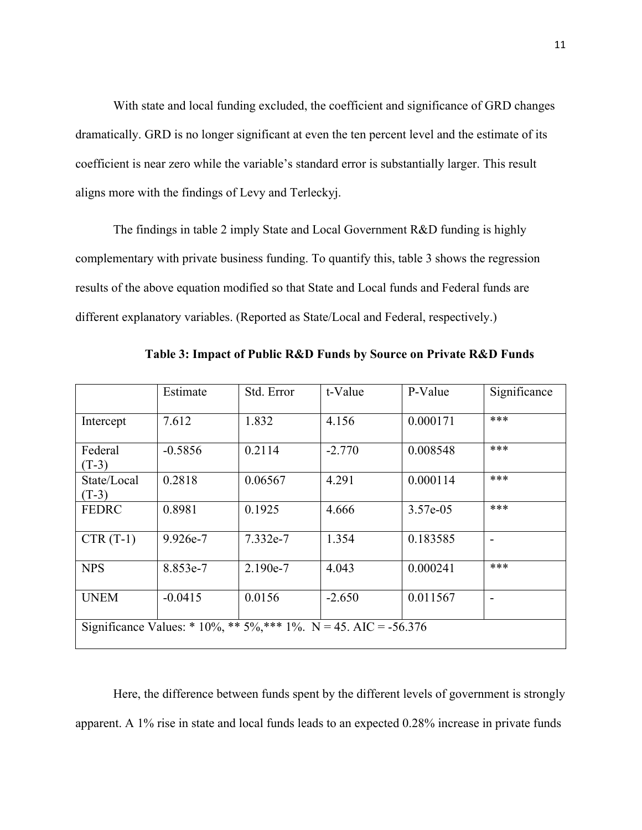With state and local funding excluded, the coefficient and significance of GRD changes dramatically. GRD is no longer significant at even the ten percent level and the estimate of its coefficient is near zero while the variable's standard error is substantially larger. This result aligns more with the findings of Levy and Terleckyj.

The findings in table 2 imply State and Local Government R&D funding is highly complementary with private business funding. To quantify this, table 3 shows the regression results of the above equation modified so that State and Local funds and Federal funds are different explanatory variables. (Reported as State/Local and Federal, respectively.)

|                                                                  | Estimate  | Std. Error | t-Value  | P-Value  | Significance |  |
|------------------------------------------------------------------|-----------|------------|----------|----------|--------------|--|
| Intercept                                                        | 7.612     | 1.832      | 4.156    | 0.000171 | ***          |  |
| Federal<br>$(T-3)$                                               | $-0.5856$ | 0.2114     | $-2.770$ | 0.008548 | ***          |  |
| State/Local<br>$(T-3)$                                           | 0.2818    | 0.06567    | 4.291    | 0.000114 | ***          |  |
| <b>FEDRC</b>                                                     | 0.8981    | 0.1925     | 4.666    | 3.57e-05 | ***          |  |
| $CTR(T-1)$                                                       | 9.926e-7  | 7.332e-7   | 1.354    | 0.183585 |              |  |
| <b>NPS</b>                                                       | 8.853e-7  | 2.190e-7   | 4.043    | 0.000241 | ***          |  |
| <b>UNEM</b>                                                      | $-0.0415$ | 0.0156     | $-2.650$ | 0.011567 |              |  |
| Significance Values: * 10%, ** 5%, *** 1%. N = 45. AIC = -56.376 |           |            |          |          |              |  |

**Table 3: Impact of Public R&D Funds by Source on Private R&D Funds**

Here, the difference between funds spent by the different levels of government is strongly apparent. A 1% rise in state and local funds leads to an expected 0.28% increase in private funds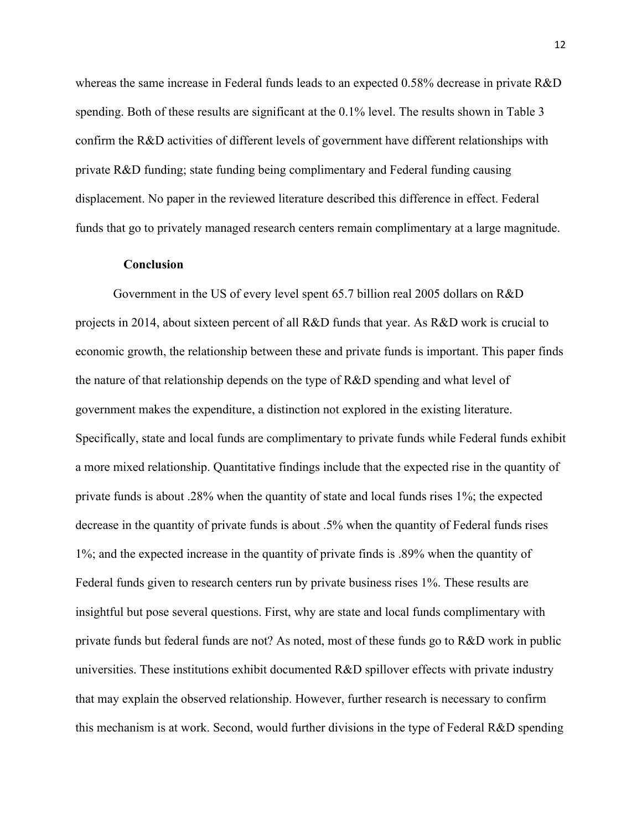whereas the same increase in Federal funds leads to an expected 0.58% decrease in private R&D spending. Both of these results are significant at the 0.1% level. The results shown in Table 3 confirm the R&D activities of different levels of government have different relationships with private R&D funding; state funding being complimentary and Federal funding causing displacement. No paper in the reviewed literature described this difference in effect. Federal funds that go to privately managed research centers remain complimentary at a large magnitude.

#### **Conclusion**

Government in the US of every level spent 65.7 billion real 2005 dollars on R&D projects in 2014, about sixteen percent of all R&D funds that year. As R&D work is crucial to economic growth, the relationship between these and private funds is important. This paper finds the nature of that relationship depends on the type of R&D spending and what level of government makes the expenditure, a distinction not explored in the existing literature. Specifically, state and local funds are complimentary to private funds while Federal funds exhibit a more mixed relationship. Quantitative findings include that the expected rise in the quantity of private funds is about .28% when the quantity of state and local funds rises 1%; the expected decrease in the quantity of private funds is about .5% when the quantity of Federal funds rises 1%; and the expected increase in the quantity of private finds is .89% when the quantity of Federal funds given to research centers run by private business rises 1%. These results are insightful but pose several questions. First, why are state and local funds complimentary with private funds but federal funds are not? As noted, most of these funds go to R&D work in public universities. These institutions exhibit documented R&D spillover effects with private industry that may explain the observed relationship. However, further research is necessary to confirm this mechanism is at work. Second, would further divisions in the type of Federal R&D spending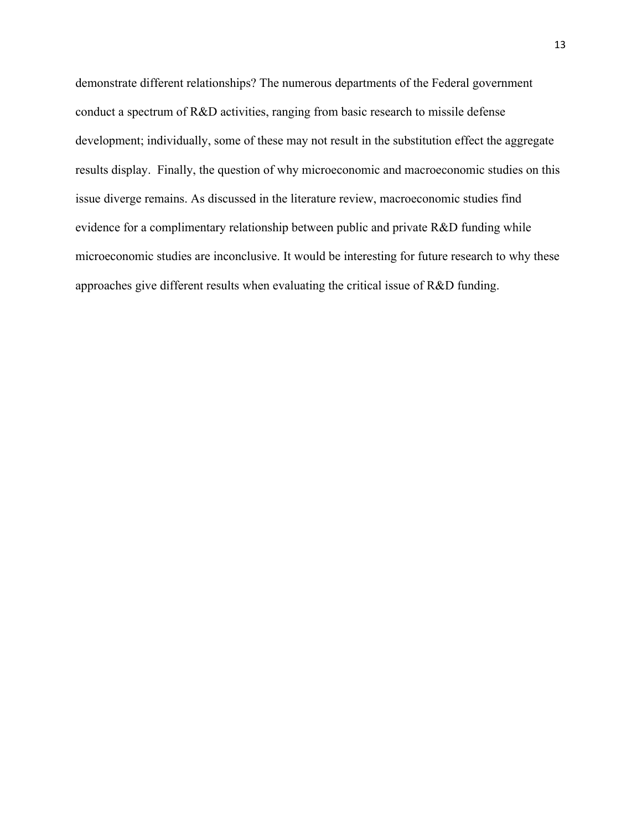demonstrate different relationships? The numerous departments of the Federal government conduct a spectrum of R&D activities, ranging from basic research to missile defense development; individually, some of these may not result in the substitution effect the aggregate results display. Finally, the question of why microeconomic and macroeconomic studies on this issue diverge remains. As discussed in the literature review, macroeconomic studies find evidence for a complimentary relationship between public and private R&D funding while microeconomic studies are inconclusive. It would be interesting for future research to why these approaches give different results when evaluating the critical issue of R&D funding.